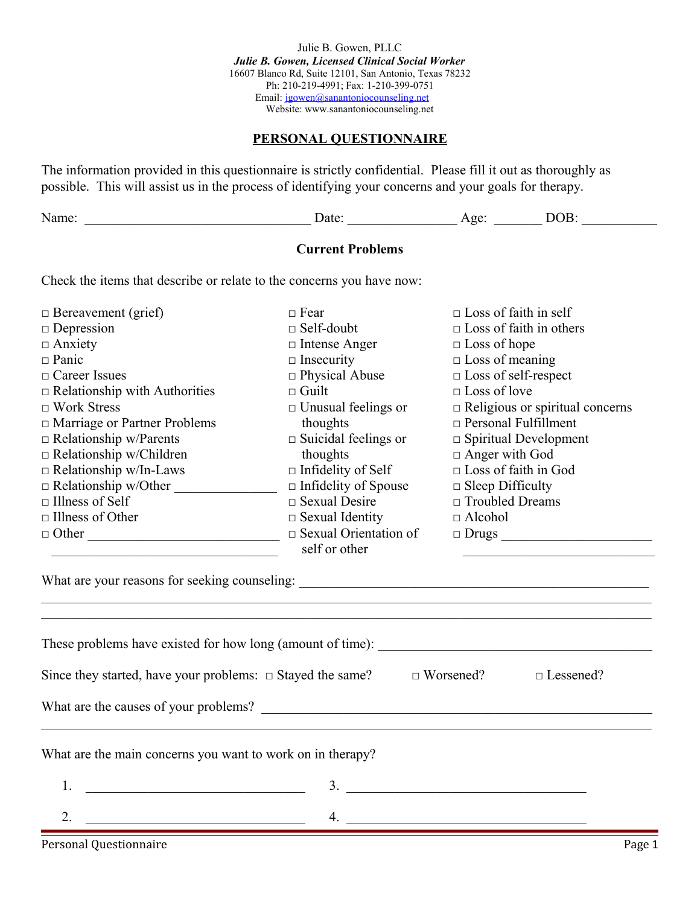Julie B. Gowen, PLLC *Julie B. Gowen, Licensed Clinical Social Worker* 16607 Blanco Rd, Suite 12101, San Antonio, Texas 78232 Ph: 210-219-4991; Fax: 1-210-399-0751 Email: [jgowen@sanantoniocounseling.net](mailto:jgowen@sanantoniocounseling.net)  Website: www.sanantoniocounseling.net

### **PERSONAL QUESTIONNAIRE**

The information provided in this questionnaire is strictly confidential. Please fill it out as thoroughly as possible. This will assist us in the process of identifying your concerns and your goals for therapy.

| י |  |  |
|---|--|--|
|   |  |  |

#### **Current Problems**

Check the items that describe or relate to the concerns you have now:

| $\Box$ Bereavement (grief)                                                                                                  | $\Box$ Fear                    | $\Box$ Loss of faith in self           |
|-----------------------------------------------------------------------------------------------------------------------------|--------------------------------|----------------------------------------|
| $\Box$ Depression                                                                                                           | $\Box$ Self-doubt              | $\Box$ Loss of faith in others         |
| $\Box$ Anxiety                                                                                                              | $\Box$ Intense Anger           | $\Box$ Loss of hope                    |
| $\square$ Panic                                                                                                             | $\square$ Insecurity           | $\Box$ Loss of meaning                 |
| $\Box$ Career Issues                                                                                                        | $\Box$ Physical Abuse          | $\Box$ Loss of self-respect            |
| $\Box$ Relationship with Authorities                                                                                        | $\Box$ Guilt                   | $\Box$ Loss of love                    |
| $\Box$ Work Stress                                                                                                          | $\Box$ Unusual feelings or     | $\Box$ Religious or spiritual concerns |
| $\Box$ Marriage or Partner Problems                                                                                         | thoughts                       | $\Box$ Personal Fulfillment            |
| $\Box$ Relationship w/Parents                                                                                               | $\square$ Suicidal feelings or | $\Box$ Spiritual Development           |
| $\Box$ Relationship w/Children                                                                                              | thoughts                       | $\Box$ Anger with God                  |
| $\Box$ Relationship w/In-Laws                                                                                               | $\Box$ Infidelity of Self      | $\Box$ Loss of faith in God            |
| Relationship w/Other                                                                                                        | $\Box$ Infidelity of Spouse    | $\Box$ Sleep Difficulty                |
| $\Box$ Illness of Self                                                                                                      | $\Box$ Sexual Desire           | □ Troubled Dreams                      |
| $\Box$ Illness of Other                                                                                                     | $\Box$ Sexual Identity         | $\Box$ Alcohol                         |
| $\Box$ Other                                                                                                                | $\Box$ Sexual Orientation of   |                                        |
|                                                                                                                             |                                |                                        |
|                                                                                                                             |                                |                                        |
| Since they started, have your problems: $\Box$ Stayed the same?                                                             |                                | $\Box$ Worsened?<br>$\Box$ Lessened?   |
|                                                                                                                             |                                |                                        |
| What are the main concerns you want to work on in therapy?                                                                  |                                |                                        |
| 1.<br><u> 1989 - Johann John Stoff, deutscher Stoffen und der Stoffen und der Stoffen und der Stoffen und der Stoffen u</u> | 3.                             |                                        |
| $\overline{2}$ .                                                                                                            | 4.                             |                                        |
| Personal Ouestionnaire                                                                                                      |                                | Page 1                                 |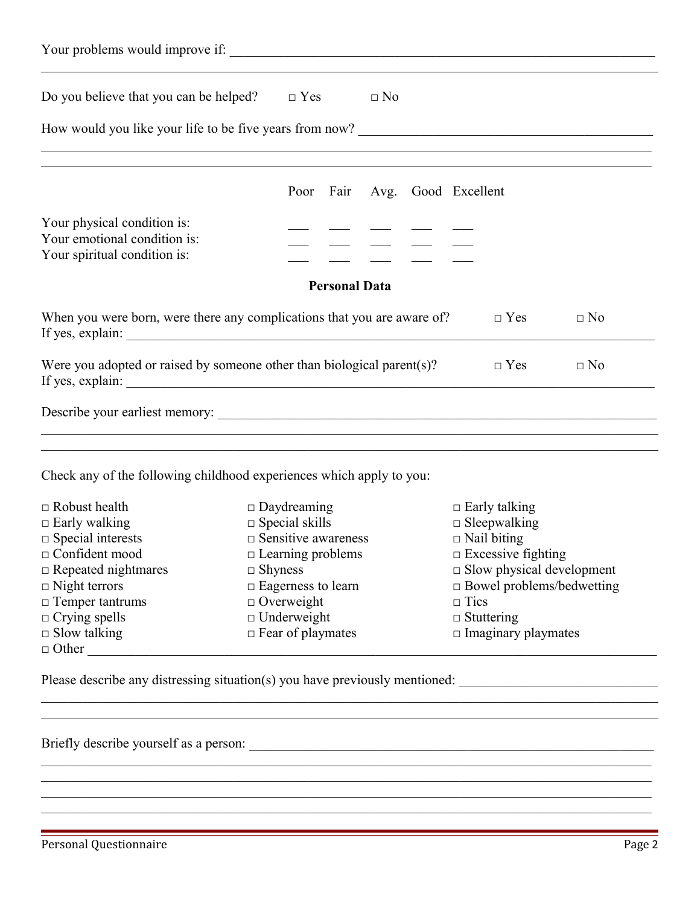| Do you believe that you can be helped? $\square$ Yes                                                                                                                                                        | $\Box$ No                                                                                             |  |
|-------------------------------------------------------------------------------------------------------------------------------------------------------------------------------------------------------------|-------------------------------------------------------------------------------------------------------|--|
|                                                                                                                                                                                                             |                                                                                                       |  |
|                                                                                                                                                                                                             | <u> 1989 - Johann John Stone, Amerikaansk politiker (d. 1989)</u><br>Poor Fair<br>Avg. Good Excellent |  |
| Your physical condition is:<br>Your emotional condition is:<br>Your spiritual condition is:                                                                                                                 |                                                                                                       |  |
|                                                                                                                                                                                                             | <b>Personal Data</b>                                                                                  |  |
|                                                                                                                                                                                                             | When you were born, were there any complications that you are aware of?<br>$\Box$ Yes<br>$\Box$ No    |  |
|                                                                                                                                                                                                             |                                                                                                       |  |
|                                                                                                                                                                                                             | Were you adopted or raised by someone other than biological parent $(s)$ ?<br>$\Box$ Yes<br>$\Box$ No |  |
|                                                                                                                                                                                                             |                                                                                                       |  |
|                                                                                                                                                                                                             | Check any of the following childhood experiences which apply to you:                                  |  |
| $\Box$ Robust health                                                                                                                                                                                        | $\Box$ Daydreaming<br>$\Box$ Early talking                                                            |  |
|                                                                                                                                                                                                             | $\Box$ Special skills<br>$\Box$ Sleepwalking                                                          |  |
|                                                                                                                                                                                                             | $\Box$ Sensitive awareness<br>$\Box$ Nail biting                                                      |  |
|                                                                                                                                                                                                             | $\Box$ Excessive fighting<br>$\Box$ Learning problems                                                 |  |
|                                                                                                                                                                                                             | $\square$ Slow physical development<br>$\Box$ Shyness                                                 |  |
|                                                                                                                                                                                                             | $\Box$ Bowel problems/bedwetting<br>$\Box$ Eagerness to learn                                         |  |
|                                                                                                                                                                                                             | $\Box$ Overweight<br>$\Box$ Tics                                                                      |  |
| $\Box$ Early walking<br>$\Box$ Special interests<br>$\Box$ Confident mood<br>$\Box$ Repeated nightmares<br>$\Box$ Night terrors<br>$\Box$ Temper tantrums<br>$\Box$ Crying spells<br>$\square$ Slow talking | $\Box$ Underweight<br>$\Box$ Stuttering<br>$\Box$ Fear of playmates<br>$\Box$ Imaginary playmates     |  |

 $\mathcal{L}_\mathcal{L} = \{ \mathcal{L}_\mathcal{L} = \{ \mathcal{L}_\mathcal{L} = \{ \mathcal{L}_\mathcal{L} = \{ \mathcal{L}_\mathcal{L} = \{ \mathcal{L}_\mathcal{L} = \{ \mathcal{L}_\mathcal{L} = \{ \mathcal{L}_\mathcal{L} = \{ \mathcal{L}_\mathcal{L} = \{ \mathcal{L}_\mathcal{L} = \{ \mathcal{L}_\mathcal{L} = \{ \mathcal{L}_\mathcal{L} = \{ \mathcal{L}_\mathcal{L} = \{ \mathcal{L}_\mathcal{L} = \{ \mathcal{L}_\mathcal{$  $\mathcal{L}_\mathcal{L} = \mathcal{L}_\mathcal{L} = \mathcal{L}_\mathcal{L} = \mathcal{L}_\mathcal{L} = \mathcal{L}_\mathcal{L} = \mathcal{L}_\mathcal{L} = \mathcal{L}_\mathcal{L} = \mathcal{L}_\mathcal{L} = \mathcal{L}_\mathcal{L} = \mathcal{L}_\mathcal{L} = \mathcal{L}_\mathcal{L} = \mathcal{L}_\mathcal{L} = \mathcal{L}_\mathcal{L} = \mathcal{L}_\mathcal{L} = \mathcal{L}_\mathcal{L} = \mathcal{L}_\mathcal{L} = \mathcal{L}_\mathcal{L}$ 

 $\mathcal{L}_\mathcal{L} = \{ \mathcal{L}_\mathcal{L} = \{ \mathcal{L}_\mathcal{L} = \{ \mathcal{L}_\mathcal{L} = \{ \mathcal{L}_\mathcal{L} = \{ \mathcal{L}_\mathcal{L} = \{ \mathcal{L}_\mathcal{L} = \{ \mathcal{L}_\mathcal{L} = \{ \mathcal{L}_\mathcal{L} = \{ \mathcal{L}_\mathcal{L} = \{ \mathcal{L}_\mathcal{L} = \{ \mathcal{L}_\mathcal{L} = \{ \mathcal{L}_\mathcal{L} = \{ \mathcal{L}_\mathcal{L} = \{ \mathcal{L}_\mathcal{$ 

Briefly describe yourself as a person: \_\_\_\_\_\_\_\_\_\_\_\_\_\_\_\_\_\_\_\_\_\_\_\_\_\_\_\_\_\_\_\_\_\_\_\_\_\_\_\_\_\_\_\_\_\_\_\_\_\_\_\_\_\_\_\_\_\_\_

\_\_\_\_\_\_\_\_\_\_\_\_\_\_\_\_\_\_\_\_\_\_\_\_\_\_\_\_\_\_\_\_\_\_\_\_\_\_\_\_\_\_\_\_\_\_\_\_\_\_\_\_\_\_\_\_\_\_\_\_\_\_\_\_\_\_\_\_\_\_\_\_\_\_\_\_\_\_\_\_\_\_\_\_\_\_\_\_\_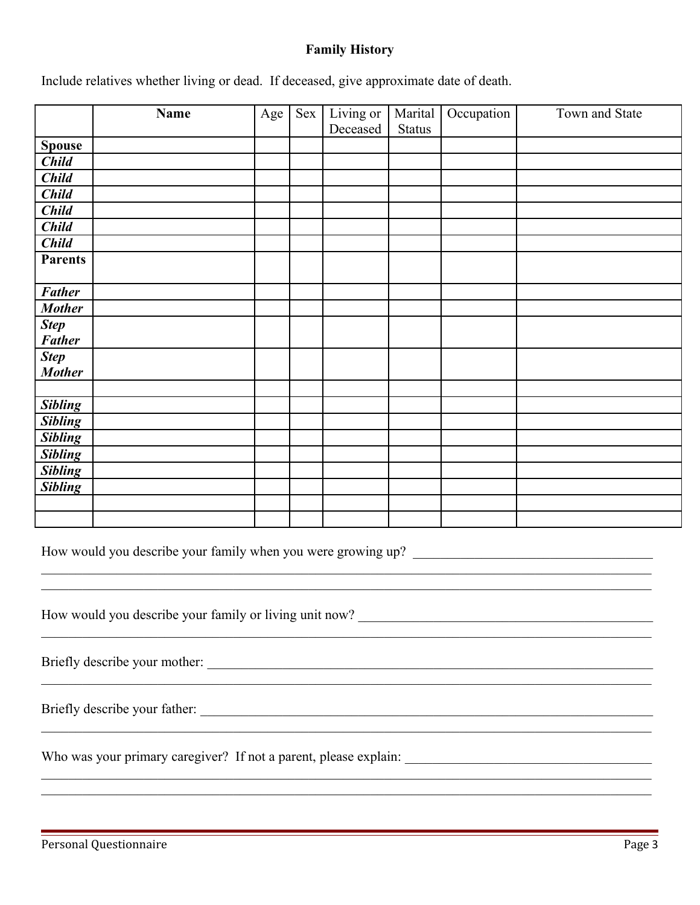### **Family History**

Include relatives whether living or dead. If deceased, give approximate date of death.

|                | Name | Age | Sex | Living or<br>Deceased | Marital<br><b>Status</b> | Occupation | Town and State |
|----------------|------|-----|-----|-----------------------|--------------------------|------------|----------------|
| <b>Spouse</b>  |      |     |     |                       |                          |            |                |
| <b>Child</b>   |      |     |     |                       |                          |            |                |
| <b>Child</b>   |      |     |     |                       |                          |            |                |
| <b>Child</b>   |      |     |     |                       |                          |            |                |
| <b>Child</b>   |      |     |     |                       |                          |            |                |
| <b>Child</b>   |      |     |     |                       |                          |            |                |
| <b>Child</b>   |      |     |     |                       |                          |            |                |
| <b>Parents</b> |      |     |     |                       |                          |            |                |
| <b>Father</b>  |      |     |     |                       |                          |            |                |
| <b>Mother</b>  |      |     |     |                       |                          |            |                |
| <b>Step</b>    |      |     |     |                       |                          |            |                |
| <b>Father</b>  |      |     |     |                       |                          |            |                |
| <b>Step</b>    |      |     |     |                       |                          |            |                |
| <b>Mother</b>  |      |     |     |                       |                          |            |                |
|                |      |     |     |                       |                          |            |                |
| <b>Sibling</b> |      |     |     |                       |                          |            |                |
| <b>Sibling</b> |      |     |     |                       |                          |            |                |
| <b>Sibling</b> |      |     |     |                       |                          |            |                |
| <b>Sibling</b> |      |     |     |                       |                          |            |                |
| <b>Sibling</b> |      |     |     |                       |                          |            |                |
| <b>Sibling</b> |      |     |     |                       |                          |            |                |
|                |      |     |     |                       |                          |            |                |
|                |      |     |     |                       |                          |            |                |
|                |      |     |     |                       |                          |            |                |

 $\mathcal{L}_\mathcal{L} = \mathcal{L}_\mathcal{L} = \mathcal{L}_\mathcal{L} = \mathcal{L}_\mathcal{L} = \mathcal{L}_\mathcal{L} = \mathcal{L}_\mathcal{L} = \mathcal{L}_\mathcal{L} = \mathcal{L}_\mathcal{L} = \mathcal{L}_\mathcal{L} = \mathcal{L}_\mathcal{L} = \mathcal{L}_\mathcal{L} = \mathcal{L}_\mathcal{L} = \mathcal{L}_\mathcal{L} = \mathcal{L}_\mathcal{L} = \mathcal{L}_\mathcal{L} = \mathcal{L}_\mathcal{L} = \mathcal{L}_\mathcal{L}$  $\mathcal{L}_\mathcal{L} = \mathcal{L}_\mathcal{L} = \mathcal{L}_\mathcal{L} = \mathcal{L}_\mathcal{L} = \mathcal{L}_\mathcal{L} = \mathcal{L}_\mathcal{L} = \mathcal{L}_\mathcal{L} = \mathcal{L}_\mathcal{L} = \mathcal{L}_\mathcal{L} = \mathcal{L}_\mathcal{L} = \mathcal{L}_\mathcal{L} = \mathcal{L}_\mathcal{L} = \mathcal{L}_\mathcal{L} = \mathcal{L}_\mathcal{L} = \mathcal{L}_\mathcal{L} = \mathcal{L}_\mathcal{L} = \mathcal{L}_\mathcal{L}$ 

 $\mathcal{L}_\text{max} = \mathcal{L}_\text{max} = \mathcal{L}_\text{max} = \mathcal{L}_\text{max} = \mathcal{L}_\text{max} = \mathcal{L}_\text{max} = \mathcal{L}_\text{max} = \mathcal{L}_\text{max} = \mathcal{L}_\text{max} = \mathcal{L}_\text{max} = \mathcal{L}_\text{max} = \mathcal{L}_\text{max} = \mathcal{L}_\text{max} = \mathcal{L}_\text{max} = \mathcal{L}_\text{max} = \mathcal{L}_\text{max} = \mathcal{L}_\text{max} = \mathcal{L}_\text{max} = \mathcal{$ 

 $\mathcal{L}_\mathcal{L} = \mathcal{L}_\mathcal{L} = \mathcal{L}_\mathcal{L} = \mathcal{L}_\mathcal{L} = \mathcal{L}_\mathcal{L} = \mathcal{L}_\mathcal{L} = \mathcal{L}_\mathcal{L} = \mathcal{L}_\mathcal{L} = \mathcal{L}_\mathcal{L} = \mathcal{L}_\mathcal{L} = \mathcal{L}_\mathcal{L} = \mathcal{L}_\mathcal{L} = \mathcal{L}_\mathcal{L} = \mathcal{L}_\mathcal{L} = \mathcal{L}_\mathcal{L} = \mathcal{L}_\mathcal{L} = \mathcal{L}_\mathcal{L}$ 

 $\mathcal{L}_\mathcal{L} = \mathcal{L}_\mathcal{L} = \mathcal{L}_\mathcal{L} = \mathcal{L}_\mathcal{L} = \mathcal{L}_\mathcal{L} = \mathcal{L}_\mathcal{L} = \mathcal{L}_\mathcal{L} = \mathcal{L}_\mathcal{L} = \mathcal{L}_\mathcal{L} = \mathcal{L}_\mathcal{L} = \mathcal{L}_\mathcal{L} = \mathcal{L}_\mathcal{L} = \mathcal{L}_\mathcal{L} = \mathcal{L}_\mathcal{L} = \mathcal{L}_\mathcal{L} = \mathcal{L}_\mathcal{L} = \mathcal{L}_\mathcal{L}$  $\mathcal{L}_\mathcal{L} = \{ \mathcal{L}_\mathcal{L} = \{ \mathcal{L}_\mathcal{L} = \{ \mathcal{L}_\mathcal{L} = \{ \mathcal{L}_\mathcal{L} = \{ \mathcal{L}_\mathcal{L} = \{ \mathcal{L}_\mathcal{L} = \{ \mathcal{L}_\mathcal{L} = \{ \mathcal{L}_\mathcal{L} = \{ \mathcal{L}_\mathcal{L} = \{ \mathcal{L}_\mathcal{L} = \{ \mathcal{L}_\mathcal{L} = \{ \mathcal{L}_\mathcal{L} = \{ \mathcal{L}_\mathcal{L} = \{ \mathcal{L}_\mathcal{$ 

How would you describe your family when you were growing up?

How would you describe your family or living unit now? \_\_\_\_\_\_\_\_\_\_\_\_\_\_\_\_\_\_\_\_\_\_\_\_\_\_

Briefly describe your mother: \_\_\_\_\_\_\_\_\_\_\_\_\_\_\_\_\_\_\_\_\_\_\_\_\_\_\_\_\_\_\_\_\_\_\_\_\_\_\_\_\_\_\_\_\_\_\_\_\_\_\_\_\_\_\_\_\_\_\_\_\_\_\_\_\_

Briefly describe your father: \_\_\_\_\_\_\_\_\_\_\_\_\_\_\_\_\_\_\_\_\_\_\_\_\_\_\_\_\_\_\_\_\_\_\_\_\_\_\_\_\_\_\_\_\_\_\_\_\_\_\_\_\_\_\_\_\_\_\_\_\_\_\_\_\_\_

Who was your primary caregiver? If not a parent, please explain: \_\_\_\_\_\_\_\_\_\_\_\_\_\_\_\_\_\_\_\_\_\_\_\_\_\_\_\_\_\_\_\_\_\_\_\_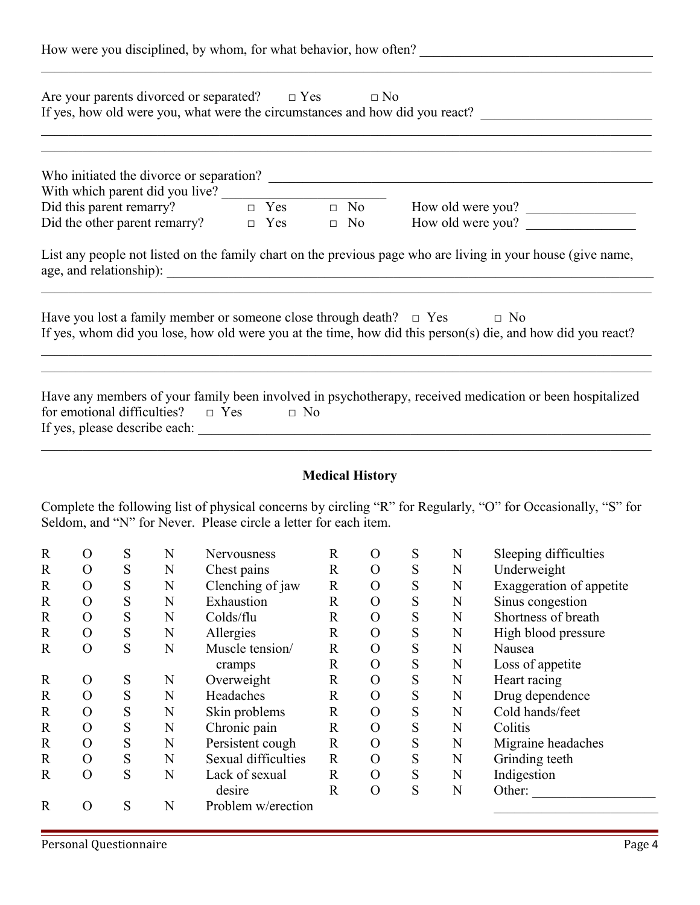|             |                |   |   |             |                                                                                    |              |                        |   |   | How were you disciplined, by whom, for what behavior, how often?                                                                                                                                                            |
|-------------|----------------|---|---|-------------|------------------------------------------------------------------------------------|--------------|------------------------|---|---|-----------------------------------------------------------------------------------------------------------------------------------------------------------------------------------------------------------------------------|
|             |                |   |   |             | Are your parents divorced or separated? $\square$ Yes                              |              | $\Box$ No              |   |   | If yes, how old were you, what were the circumstances and how did you react?                                                                                                                                                |
|             |                |   |   |             |                                                                                    |              |                        |   |   | With which parent did you live?<br>Did this parent remarry?<br>Did the other parent remarry?<br>$\Box$ Yes $\Box$ No<br>$\Box$ No<br>How old were you?                                                                      |
|             |                |   |   |             |                                                                                    |              |                        |   |   |                                                                                                                                                                                                                             |
|             |                |   |   |             |                                                                                    |              |                        |   |   |                                                                                                                                                                                                                             |
|             |                |   |   |             | Have you lost a family member or someone close through death? $\Box$ Yes $\Box$ No |              |                        |   |   | List any people not listed on the family chart on the previous page who are living in your house (give name,<br>If yes, whom did you lose, how old were you at the time, how did this person(s) die, and how did you react? |
|             |                |   |   |             | for emotional difficulties? $\Box$ Yes $\Box$ No                                   |              |                        |   |   | Have any members of your family been involved in psychotherapy, received medication or been hospitalized                                                                                                                    |
|             |                |   |   |             |                                                                                    |              | <b>Medical History</b> |   |   |                                                                                                                                                                                                                             |
|             |                |   |   |             | Seldom, and "N" for Never. Please circle a letter for each item.                   |              |                        |   |   | Complete the following list of physical concerns by circling "R" for Regularly, "O" for Occasionally, "S" for                                                                                                               |
| $\mathbf R$ | $\overline{O}$ | S | N | Nervousness |                                                                                    | $\mathbf{R}$ | $\Omega$               | S | N | Sleeping difficulties                                                                                                                                                                                                       |

| ĸ            | ( )            | S | N | Nervousness         | ĸ            | O        | S | N | Sleeping difficulties    |
|--------------|----------------|---|---|---------------------|--------------|----------|---|---|--------------------------|
| $\mathbb{R}$ | O              | S | N | Chest pains         | $\mathbf R$  | $\Omega$ | S | N | Underweight              |
| $\mathbf R$  | O              | S | N | Clenching of jaw    | $\mathbf R$  | $\Omega$ | S | N | Exaggeration of appetite |
| $\mathbf R$  | $\mathcal{O}$  | S | N | Exhaustion          | $\mathbf R$  | $\Omega$ | S | N | Sinus congestion         |
| $\mathbf R$  | $\mathcal{O}$  | S | N | Colds/flu           | $\mathbf R$  | $\Omega$ | S | N | Shortness of breath      |
| $\mathbb{R}$ | $\overline{O}$ | S | N | Allergies           | $\mathbf R$  | $\Omega$ | S | N | High blood pressure      |
| $\mathbb{R}$ | $\overline{O}$ | S | N | Muscle tension/     | $\mathbf R$  | $\Omega$ | S | N | Nausea                   |
|              |                |   |   | cramps              | $\mathbf R$  | $\Omega$ | S | N | Loss of appetite         |
| $\mathbf R$  | O              | S | N | Overweight          | $\mathbf R$  | $\Omega$ | S | N | Heart racing             |
| $\mathbb{R}$ | $\overline{O}$ | S | N | Headaches           | $\mathbf R$  | $\Omega$ | S | N | Drug dependence          |
| $\mathbf R$  | $\overline{O}$ | S | N | Skin problems       | $\mathbf R$  | $\Omega$ | S | N | Cold hands/feet          |
| $\mathbf R$  | $\mathcal{O}$  | S | N | Chronic pain        | $\mathbf R$  | $\Omega$ | S | N | Colitis                  |
| $\mathbf R$  | $\mathcal{O}$  | S | N | Persistent cough    | $\mathbf R$  | $\Omega$ | S | N | Migraine headaches       |
| $\mathbf R$  | $\overline{O}$ | S | N | Sexual difficulties | $\mathbf R$  | $\Omega$ | S | N | Grinding teeth           |
| $\mathbf R$  | $\overline{O}$ | S | N | Lack of sexual      | $\mathbf R$  | $\Omega$ | S | N | Indigestion              |
|              |                |   |   | desire              | $\mathbb{R}$ | $\Omega$ | S | N | Other:                   |
| R            | O              | S | N | Problem w/erection  |              |          |   |   |                          |
|              |                |   |   |                     |              |          |   |   |                          |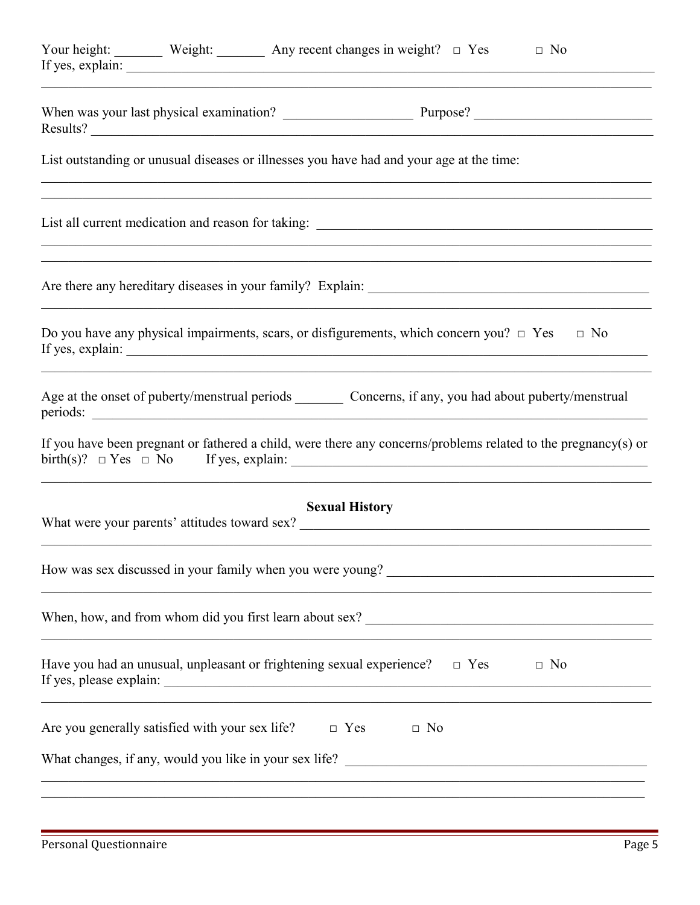| Your height: Weight: $\_\_\_\_\_\$ Any recent changes in weight? $\_\_\_\$ Yes<br>$\Box$ No<br>If yes, explain:       |
|-----------------------------------------------------------------------------------------------------------------------|
|                                                                                                                       |
| List outstanding or unusual diseases or illnesses you have had and your age at the time:                              |
| ,我们也不能在这里的人,我们也不能在这里的人,我们也不能在这里的人,我们也不能在这里的人,我们也不能在这里的人,我们也不能在这里的人,我们也不能在这里的人,我们也                                     |
| <u> 1989 - Johann Stoff, deutscher Stoff, der Stoff, der Stoff, der Stoff, der Stoff, der Stoff, der Stoff, der S</u> |
| Do you have any physical impairments, scars, or disfigurements, which concern you? $\Box$ Yes $\Box$ No               |
| periods:                                                                                                              |
| If you have been pregnant or fathered a child, were there any concerns/problems related to the pregnancy(s) or        |
| <b>Sexual History</b>                                                                                                 |
| <u> 1989 - Johann Barbara, margaret eta idazlearia (h. 1989).</u>                                                     |
| <u> 1990 - Johann Barbara, markazar margolaria (h. 1980).</u>                                                         |
| Have you had an unusual, unpleasant or frightening sexual experience? $\Box$ Yes<br>$\Box$ No                         |
| Are you generally satisfied with your sex life? $\Box$ Yes $\Box$ No                                                  |
| <u> 1989 - Jan James James James James James James James James James James James James James James James James J</u>  |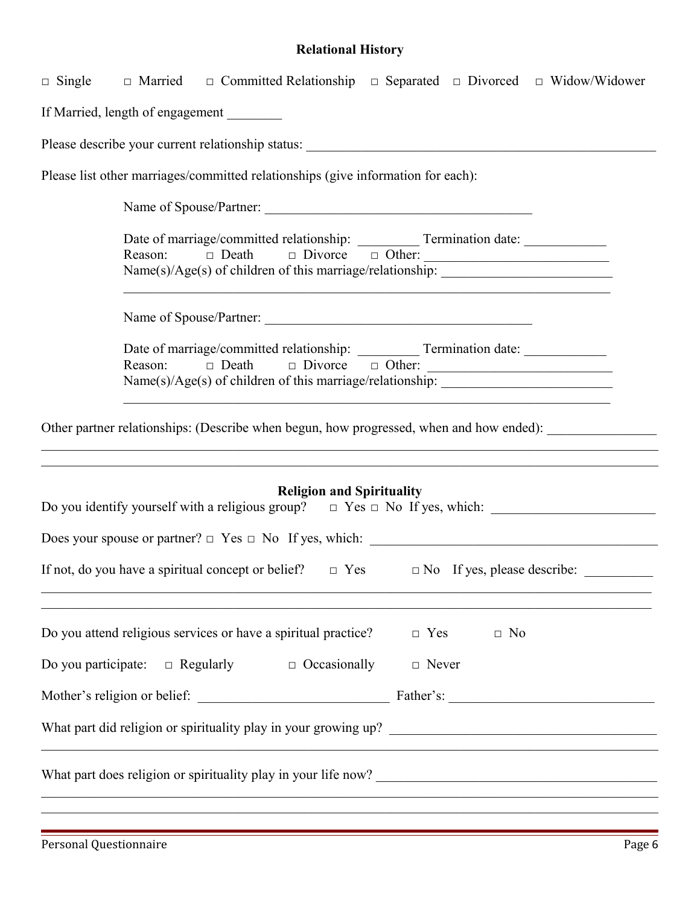# **Relational History**

| $\Box$ Single $\Box$ Married $\Box$ Committed Relationship $\Box$ Separated $\Box$ Divorced $\Box$ Widow/Widower                                                                                                 |
|------------------------------------------------------------------------------------------------------------------------------------------------------------------------------------------------------------------|
| If Married, length of engagement                                                                                                                                                                                 |
| Please describe your current relationship status: _______________________________                                                                                                                                |
| Please list other marriages/committed relationships (give information for each):                                                                                                                                 |
| Name of Spouse/Partner:                                                                                                                                                                                          |
| Name(s)/Age(s) of children of this marriage/relationship: _______________________                                                                                                                                |
| Name of Spouse/Partner:                                                                                                                                                                                          |
| Reason:<br>Name(s)/Age(s) of children of this marriage/relationship: _______________________                                                                                                                     |
| Other partner relationships: (Describe when begun, how progressed, when and how ended):<br><u> 1989 - Jan Samuel Barbara, margaret a shekara 1989 - An tsaran a shekara 1989 - An tsaran 1989 - An tsaran 19</u> |
| <b>Religion and Spirituality</b><br>Do you identify yourself with a religious group? $\Box$ Yes $\Box$ No If yes, which:                                                                                         |
|                                                                                                                                                                                                                  |
| If not, do you have a spiritual concept or belief? $\Box$ Yes $\Box$ No If yes, please describe:                                                                                                                 |
| Do you attend religious services or have a spiritual practice?<br>$\Box$ Yes $\Box$ No                                                                                                                           |
| Do you participate: $\Box$ Regularly $\Box$ Occasionally $\Box$ Never                                                                                                                                            |
|                                                                                                                                                                                                                  |
|                                                                                                                                                                                                                  |
| <u> 1989 - Johann Barbara, martin amerikan basal dan berasal dalam basal dalam basal dalam basal dalam basal dala</u>                                                                                            |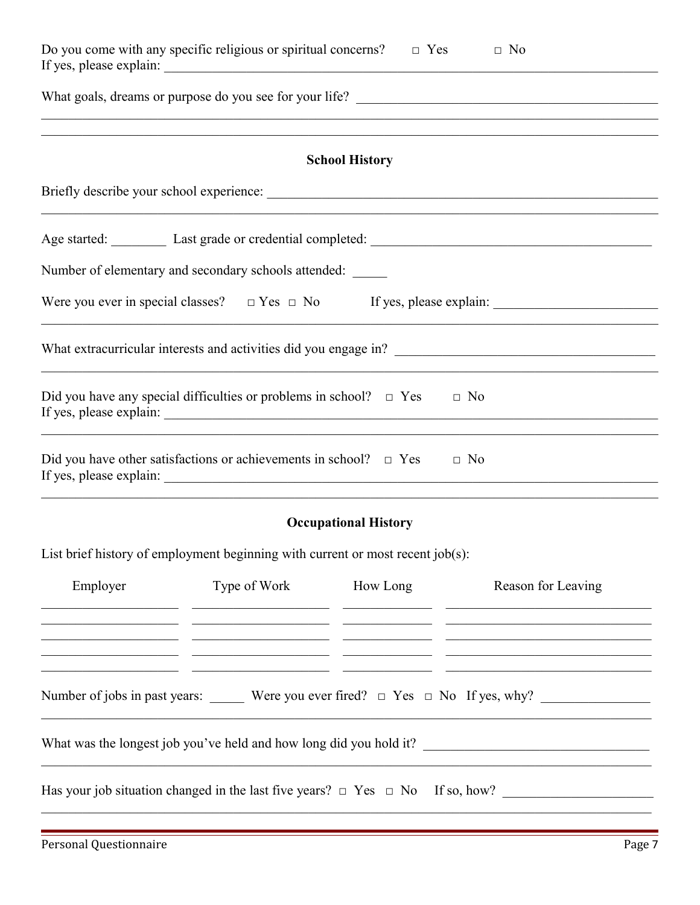|                                                                                                                       | Do you come with any specific religious or spiritual concerns? $\Box$ Yes                                                                      |                             | $\Box$ No                                                                                                                                                                                                                                                                                                                    |  |  |  |
|-----------------------------------------------------------------------------------------------------------------------|------------------------------------------------------------------------------------------------------------------------------------------------|-----------------------------|------------------------------------------------------------------------------------------------------------------------------------------------------------------------------------------------------------------------------------------------------------------------------------------------------------------------------|--|--|--|
| <u> 1989 - Johann John Stoff, deutscher Stoffen und der Stoffen und der Stoffen und der Stoffen und der Stoffen u</u> |                                                                                                                                                |                             |                                                                                                                                                                                                                                                                                                                              |  |  |  |
|                                                                                                                       |                                                                                                                                                | <b>School History</b>       |                                                                                                                                                                                                                                                                                                                              |  |  |  |
|                                                                                                                       |                                                                                                                                                |                             |                                                                                                                                                                                                                                                                                                                              |  |  |  |
|                                                                                                                       |                                                                                                                                                |                             |                                                                                                                                                                                                                                                                                                                              |  |  |  |
|                                                                                                                       | Number of elementary and secondary schools attended:                                                                                           |                             |                                                                                                                                                                                                                                                                                                                              |  |  |  |
|                                                                                                                       |                                                                                                                                                |                             |                                                                                                                                                                                                                                                                                                                              |  |  |  |
|                                                                                                                       |                                                                                                                                                |                             | <u> 1989 - Johann Barbara, markazar margolar (h. 1989).</u>                                                                                                                                                                                                                                                                  |  |  |  |
|                                                                                                                       | Did you have any special difficulties or problems in school? $\Box$ Yes                                                                        |                             | $\Box$ No                                                                                                                                                                                                                                                                                                                    |  |  |  |
|                                                                                                                       | Did you have other satisfactions or achievements in school? $\Box$ Yes                                                                         |                             | $\Box$ No                                                                                                                                                                                                                                                                                                                    |  |  |  |
|                                                                                                                       |                                                                                                                                                | <b>Occupational History</b> |                                                                                                                                                                                                                                                                                                                              |  |  |  |
|                                                                                                                       | List brief history of employment beginning with current or most recent job(s):                                                                 |                             |                                                                                                                                                                                                                                                                                                                              |  |  |  |
| Employer                                                                                                              | Type of Work How Long<br><u> 1989 - Johann Harry Harry Harry Harry Harry Harry Harry Harry Harry Harry Harry Harry Harry Harry Harry Harry</u> |                             | Reason for Leaving<br><u> 1989 - Johann Stoff, amerikansk politiker (d. 1989)</u><br><u> 1989 - Johann John Barn, mars an t-Amerikaansk komponinter (* 1989)</u><br><u> 1989 - Johann John Stone, mars and deutscher Stone (1989)</u>                                                                                        |  |  |  |
|                                                                                                                       | <u> 2002 - Jan James James, politik američki politik († 20. december - 20. december - 20. december - 20. december - 2</u>                      |                             | <u> 1989 - Johann Harry Harry Harry Harry Harry Harry Harry Harry Harry Harry Harry Harry Harry Harry Harry Harry Harry Harry Harry Harry Harry Harry Harry Harry Harry Harry Harry Harry Harry Harry Harry Harry Harry Harry Ha</u><br>Number of jobs in past years: Were you ever fired? $\Box$ Yes $\Box$ No If yes, why? |  |  |  |
|                                                                                                                       |                                                                                                                                                |                             | What was the longest job you've held and how long did you hold it?                                                                                                                                                                                                                                                           |  |  |  |
|                                                                                                                       |                                                                                                                                                |                             |                                                                                                                                                                                                                                                                                                                              |  |  |  |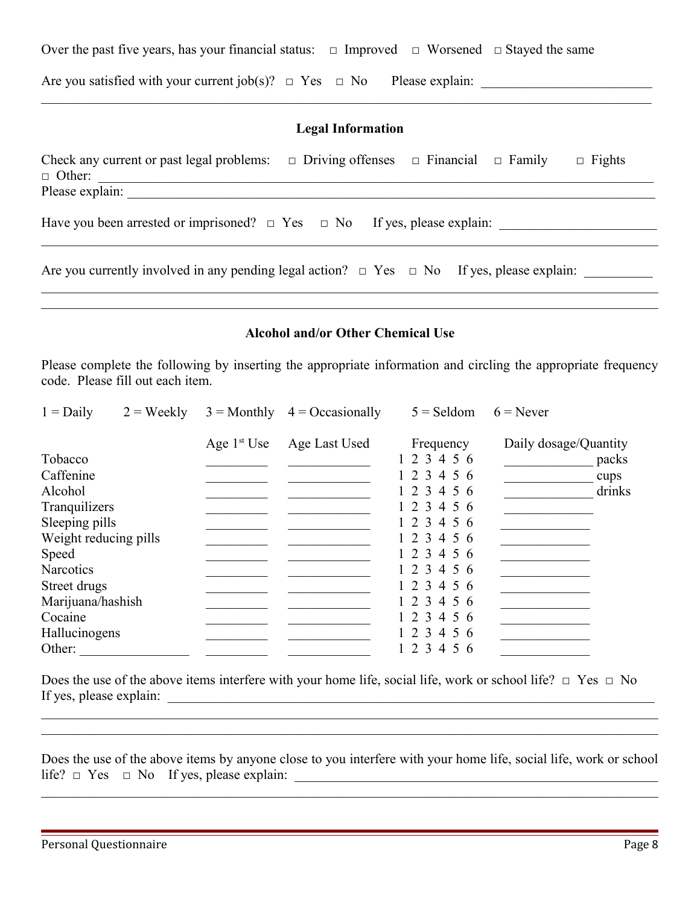Over the past five years, has your financial status:  $\Box$  Improved  $\Box$  Worsened  $\Box$  Stayed the same

Are you satisfied with your current job(s)? □ Yes □ No Please explain: \_\_\_\_\_\_\_\_\_\_\_\_\_\_\_\_\_\_\_\_\_\_\_\_\_

### **Legal Information**

 $\mathcal{L}_\mathcal{L} = \mathcal{L}_\mathcal{L} = \mathcal{L}_\mathcal{L} = \mathcal{L}_\mathcal{L} = \mathcal{L}_\mathcal{L} = \mathcal{L}_\mathcal{L} = \mathcal{L}_\mathcal{L} = \mathcal{L}_\mathcal{L} = \mathcal{L}_\mathcal{L} = \mathcal{L}_\mathcal{L} = \mathcal{L}_\mathcal{L} = \mathcal{L}_\mathcal{L} = \mathcal{L}_\mathcal{L} = \mathcal{L}_\mathcal{L} = \mathcal{L}_\mathcal{L} = \mathcal{L}_\mathcal{L} = \mathcal{L}_\mathcal{L}$ 

| Check any current or past legal problems: $\Box$ Driving offenses $\Box$ Financial $\Box$ Family<br>$\Box$ Fights<br>$\Box$ Other:<br>Please explain: |
|-------------------------------------------------------------------------------------------------------------------------------------------------------|
| Have you been arrested or imprisoned? $\Box$ Yes $\Box$ No If yes, please explain:                                                                    |
| Are you currently involved in any pending legal action? $\Box$ Yes $\Box$ No If yes, please explain:                                                  |

### **Alcohol and/or Other Chemical Use**

 $\mathcal{L}_\mathcal{L} = \mathcal{L}_\mathcal{L} = \mathcal{L}_\mathcal{L} = \mathcal{L}_\mathcal{L} = \mathcal{L}_\mathcal{L} = \mathcal{L}_\mathcal{L} = \mathcal{L}_\mathcal{L} = \mathcal{L}_\mathcal{L} = \mathcal{L}_\mathcal{L} = \mathcal{L}_\mathcal{L} = \mathcal{L}_\mathcal{L} = \mathcal{L}_\mathcal{L} = \mathcal{L}_\mathcal{L} = \mathcal{L}_\mathcal{L} = \mathcal{L}_\mathcal{L} = \mathcal{L}_\mathcal{L} = \mathcal{L}_\mathcal{L}$ 

Please complete the following by inserting the appropriate information and circling the appropriate frequency code. Please fill out each item.

| $1 = Daily$           | $2 = \text{Weakly}$ | $3 =$ Monthly | $4 = Occasionally$ | $5 =$ Seldom | $6$ = Never           |
|-----------------------|---------------------|---------------|--------------------|--------------|-----------------------|
|                       |                     | Age $1st$ Use | Age Last Used      | Frequency    | Daily dosage/Quantity |
| Tobacco               |                     |               |                    | 1 2 3 4 5 6  | packs                 |
| Caffenine             |                     |               |                    | 1 2 3 4 5 6  | cups                  |
| Alcohol               |                     |               |                    | 1 2 3 4 5 6  | drinks                |
| Tranquilizers         |                     |               |                    | 1 2 3 4 5 6  |                       |
| Sleeping pills        |                     |               |                    | 123456       |                       |
| Weight reducing pills |                     |               |                    | 1 2 3 4 5 6  |                       |
| <b>Speed</b>          |                     |               |                    | 1 2 3 4 5 6  |                       |
| <b>Narcotics</b>      |                     |               |                    | 1 2 3 4 5 6  |                       |
| Street drugs          |                     |               |                    | 1 2 3 4 5 6  |                       |
| Marijuana/hashish     |                     |               |                    | 1 2 3 4 5 6  |                       |
| Cocaine               |                     |               |                    | 1 2 3 4 5 6  |                       |
| Hallucinogens         |                     |               |                    | 1 2 3 4 5 6  |                       |
| Other:                |                     |               |                    | 1 2 3 4 5 6  |                       |

Does the use of the above items interfere with your home life, social life, work or school life?  $\Box$  Yes  $\Box$  No If yes, please explain:

Does the use of the above items by anyone close to you interfere with your home life, social life, work or school life? □ Yes □ No If yes, please explain: \_\_\_\_\_\_\_\_\_\_\_\_\_\_\_\_\_\_\_\_\_\_\_\_\_\_\_\_\_\_\_\_\_\_\_\_\_\_\_\_\_\_\_\_\_\_\_\_\_\_\_\_\_

 $\mathcal{L}_\mathcal{L} = \mathcal{L}_\mathcal{L} = \mathcal{L}_\mathcal{L} = \mathcal{L}_\mathcal{L} = \mathcal{L}_\mathcal{L} = \mathcal{L}_\mathcal{L} = \mathcal{L}_\mathcal{L} = \mathcal{L}_\mathcal{L} = \mathcal{L}_\mathcal{L} = \mathcal{L}_\mathcal{L} = \mathcal{L}_\mathcal{L} = \mathcal{L}_\mathcal{L} = \mathcal{L}_\mathcal{L} = \mathcal{L}_\mathcal{L} = \mathcal{L}_\mathcal{L} = \mathcal{L}_\mathcal{L} = \mathcal{L}_\mathcal{L}$ 

 $\mathcal{L}_\mathcal{L} = \mathcal{L}_\mathcal{L} = \mathcal{L}_\mathcal{L} = \mathcal{L}_\mathcal{L} = \mathcal{L}_\mathcal{L} = \mathcal{L}_\mathcal{L} = \mathcal{L}_\mathcal{L} = \mathcal{L}_\mathcal{L} = \mathcal{L}_\mathcal{L} = \mathcal{L}_\mathcal{L} = \mathcal{L}_\mathcal{L} = \mathcal{L}_\mathcal{L} = \mathcal{L}_\mathcal{L} = \mathcal{L}_\mathcal{L} = \mathcal{L}_\mathcal{L} = \mathcal{L}_\mathcal{L} = \mathcal{L}_\mathcal{L}$